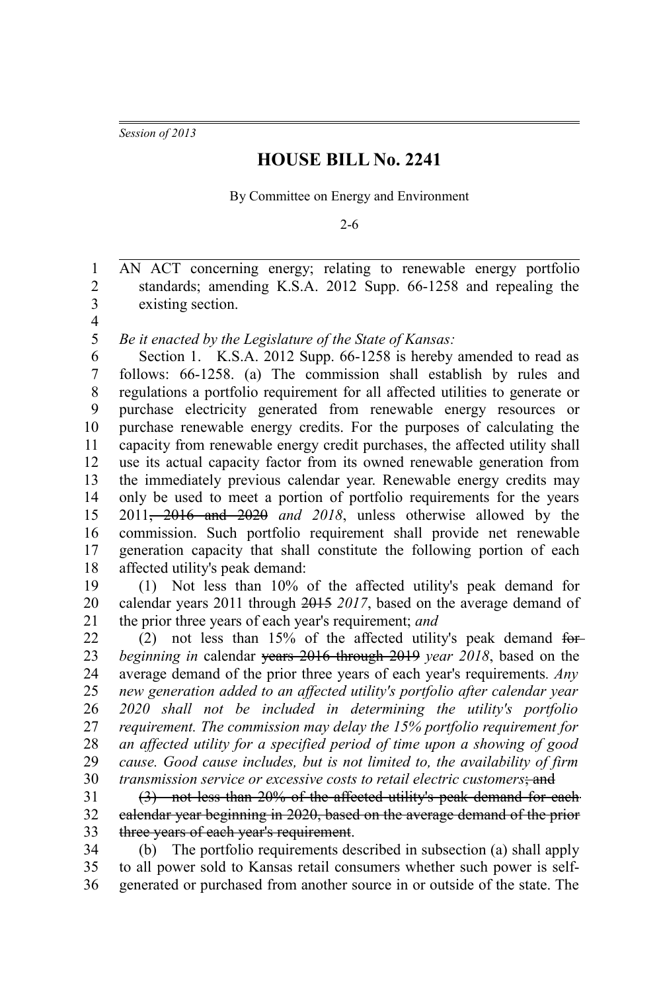*Session of 2013*

## **HOUSE BILL No. 2241**

By Committee on Energy and Environment

2-6

AN ACT concerning energy; relating to renewable energy portfolio standards; amending K.S.A. 2012 Supp. 66-1258 and repealing the existing section. 1 2 3

4

*Be it enacted by the Legislature of the State of Kansas:* 5

Section 1. K.S.A. 2012 Supp. 66-1258 is hereby amended to read as follows: 66-1258. (a) The commission shall establish by rules and regulations a portfolio requirement for all affected utilities to generate or purchase electricity generated from renewable energy resources or purchase renewable energy credits. For the purposes of calculating the capacity from renewable energy credit purchases, the affected utility shall use its actual capacity factor from its owned renewable generation from the immediately previous calendar year. Renewable energy credits may only be used to meet a portion of portfolio requirements for the years 2011, 2016 and 2020 *and 2018*, unless otherwise allowed by the commission. Such portfolio requirement shall provide net renewable generation capacity that shall constitute the following portion of each affected utility's peak demand: 6 7 8 9 10 11 12 13 14 15 16 17 18

(1) Not less than 10% of the affected utility's peak demand for calendar years 2011 through 2015 *2017*, based on the average demand of the prior three years of each year's requirement; *and* 19 20 21

(2) not less than  $15%$  of the affected utility's peak demand for*beginning in* calendar years 2016 through 2019 *year 2018*, based on the average demand of the prior three years of each year's requirements*. Any new generation added to an affected utility's portfolio after calendar year 2020 shall not be included in determining the utility's portfolio requirement. The commission may delay the 15% portfolio requirement for an affected utility for a specified period of time upon a showing of good cause. Good cause includes, but is not limited to, the availability of firm transmission service or excessive costs to retail electric customers*; and 22 23 24 25 26 27 28 29 30

(3) not less than 20% of the affected utility's peak demand for each calendar year beginning in 2020, based on the average demand of the prior three years of each year's requirement. 31 32 33

(b) The portfolio requirements described in subsection (a) shall apply to all power sold to Kansas retail consumers whether such power is selfgenerated or purchased from another source in or outside of the state. The 34 35 36